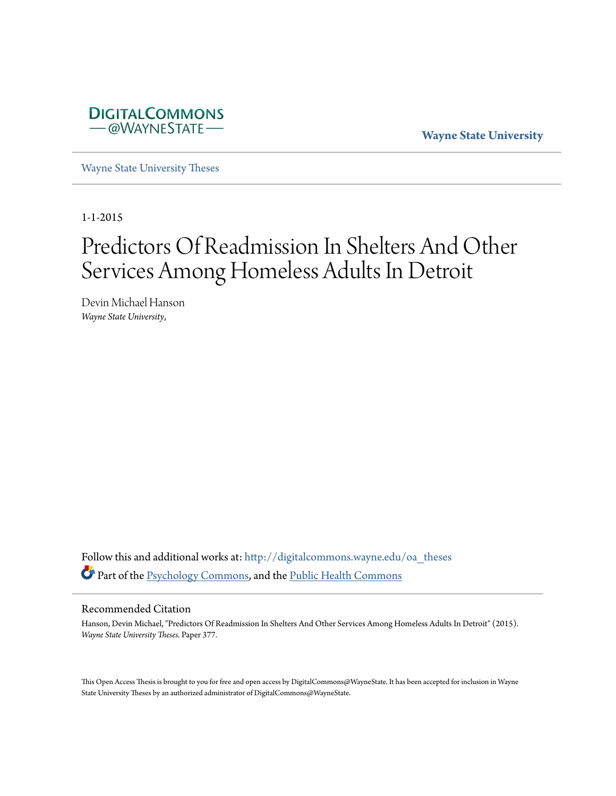

**Wayne State University**

[Wayne State University Theses](http://digitalcommons.wayne.edu/oa_theses?utm_source=digitalcommons.wayne.edu%2Foa_theses%2F377&utm_medium=PDF&utm_campaign=PDFCoverPages)

1-1-2015

# Predictors Of Readmission In Shelters And Other Services Among Homeless Adults In Detroit

Devin Michael Hanson *Wayne State University*,

Follow this and additional works at: [http://digitalcommons.wayne.edu/oa\\_theses](http://digitalcommons.wayne.edu/oa_theses?utm_source=digitalcommons.wayne.edu%2Foa_theses%2F377&utm_medium=PDF&utm_campaign=PDFCoverPages) Part of the [Psychology Commons](http://network.bepress.com/hgg/discipline/404?utm_source=digitalcommons.wayne.edu%2Foa_theses%2F377&utm_medium=PDF&utm_campaign=PDFCoverPages), and the [Public Health Commons](http://network.bepress.com/hgg/discipline/738?utm_source=digitalcommons.wayne.edu%2Foa_theses%2F377&utm_medium=PDF&utm_campaign=PDFCoverPages)

#### Recommended Citation

Hanson, Devin Michael, "Predictors Of Readmission In Shelters And Other Services Among Homeless Adults In Detroit" (2015). *Wayne State University Theses.* Paper 377.

This Open Access Thesis is brought to you for free and open access by DigitalCommons@WayneState. It has been accepted for inclusion in Wayne State University Theses by an authorized administrator of DigitalCommons@WayneState.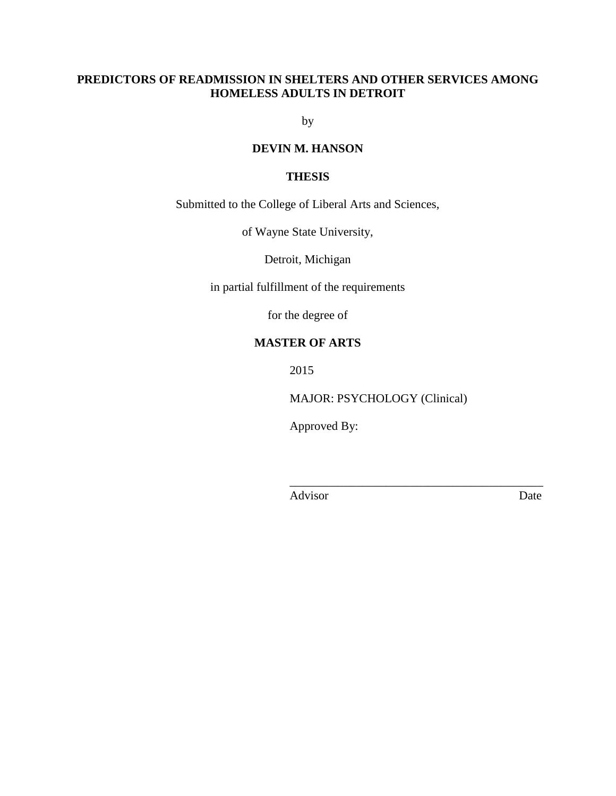# **PREDICTORS OF READMISSION IN SHELTERS AND OTHER SERVICES AMONG HOMELESS ADULTS IN DETROIT**

by

# **DEVIN M. HANSON**

## **THESIS**

Submitted to the College of Liberal Arts and Sciences,

of Wayne State University,

Detroit, Michigan

in partial fulfillment of the requirements

for the degree of

## **MASTER OF ARTS**

2015

MAJOR: PSYCHOLOGY (Clinical)

\_\_\_\_\_\_\_\_\_\_\_\_\_\_\_\_\_\_\_\_\_\_\_\_\_\_\_\_\_\_\_\_\_\_\_\_\_\_\_\_\_\_

Approved By:

Advisor Date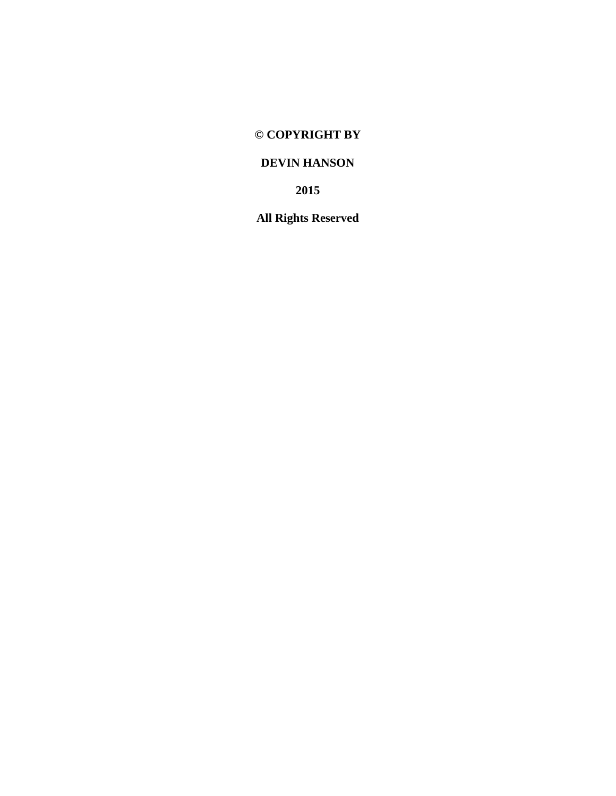# **© COPYRIGHT BY**

# **DEVIN HANSON**

**2015**

**All Rights Reserved**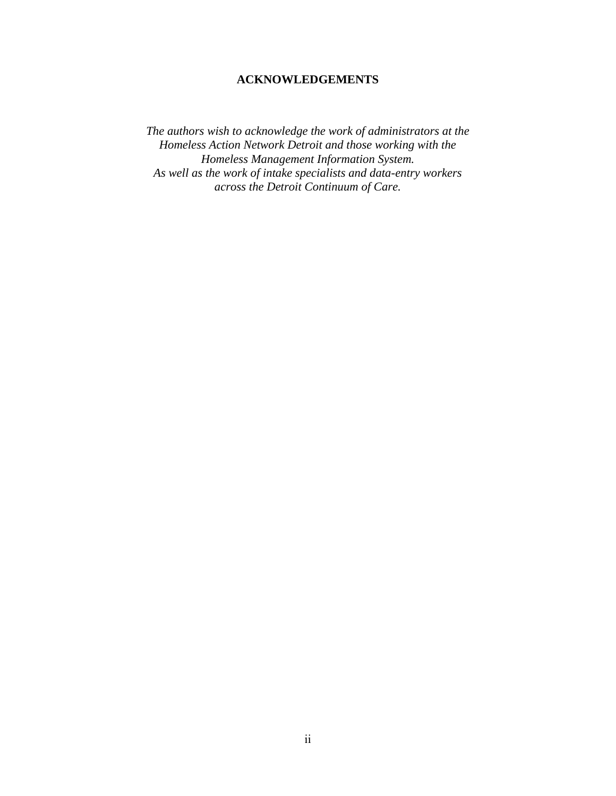# **ACKNOWLEDGEMENTS**

*The authors wish to acknowledge the work of administrators at the Homeless Action Network Detroit and those working with the Homeless Management Information System. As well as the work of intake specialists and data-entry workers across the Detroit Continuum of Care.*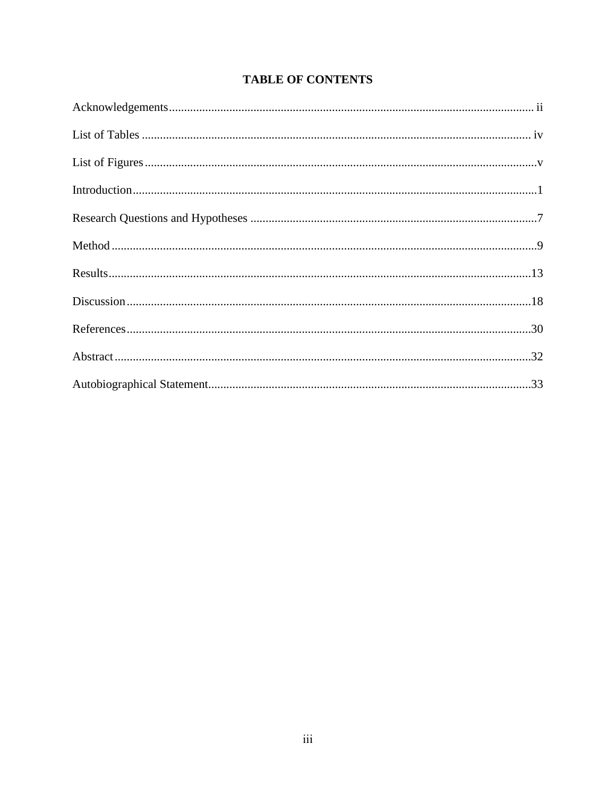# **TABLE OF CONTENTS**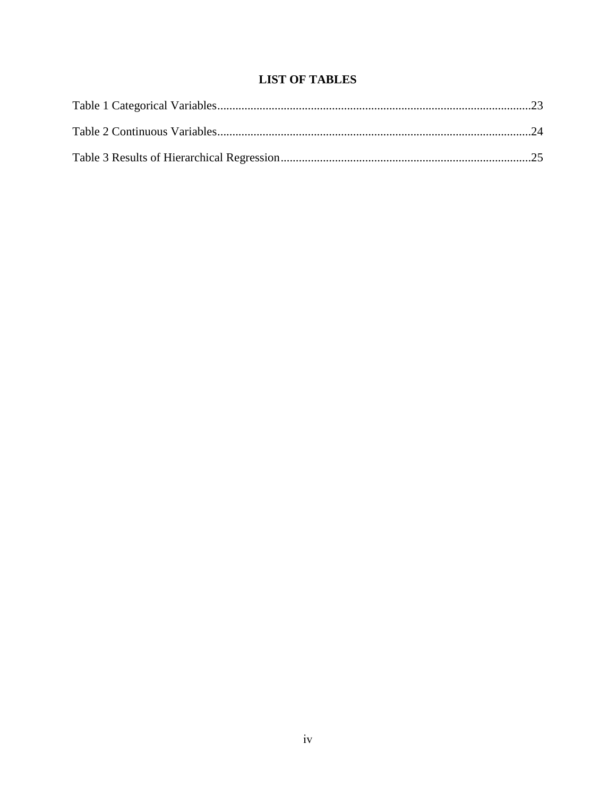# **LIST OF TABLES**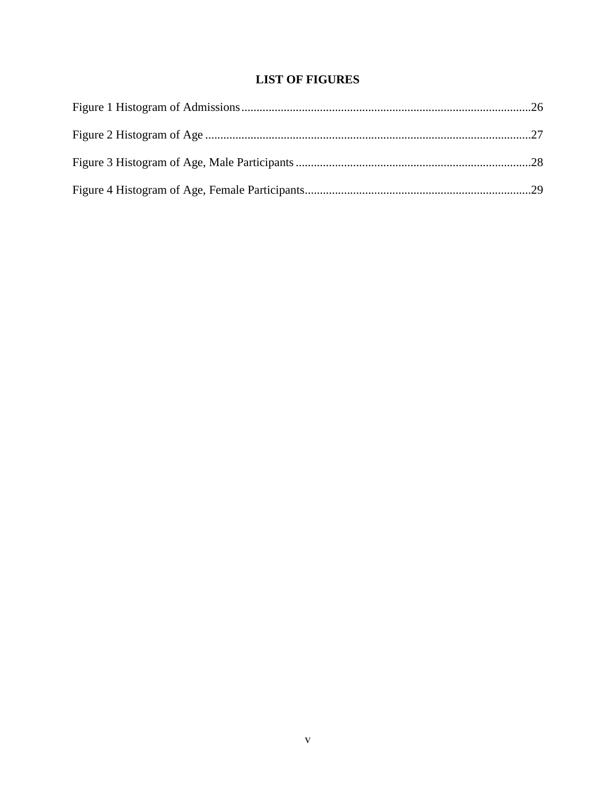# **LIST OF FIGURES**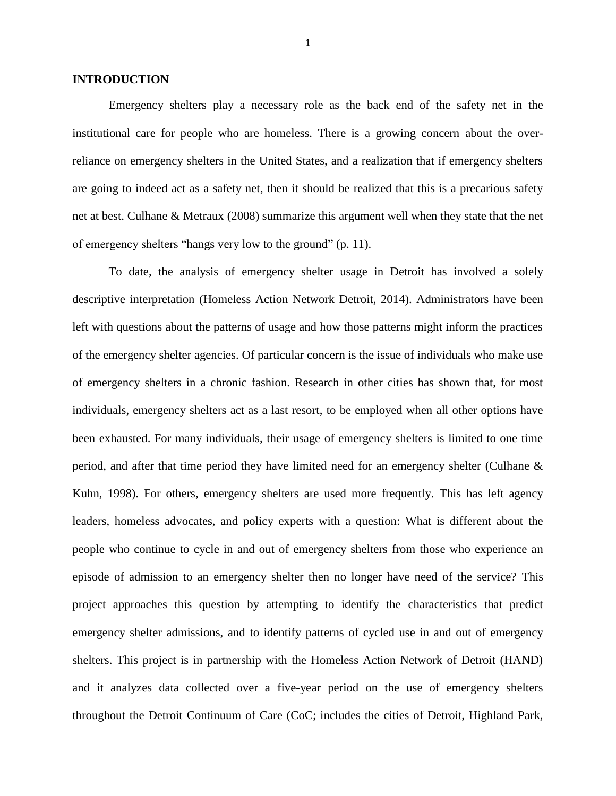#### **INTRODUCTION**

Emergency shelters play a necessary role as the back end of the safety net in the institutional care for people who are homeless. There is a growing concern about the overreliance on emergency shelters in the United States, and a realization that if emergency shelters are going to indeed act as a safety net, then it should be realized that this is a precarious safety net at best. Culhane & Metraux (2008) summarize this argument well when they state that the net of emergency shelters "hangs very low to the ground" (p. 11).

To date, the analysis of emergency shelter usage in Detroit has involved a solely descriptive interpretation (Homeless Action Network Detroit, 2014). Administrators have been left with questions about the patterns of usage and how those patterns might inform the practices of the emergency shelter agencies. Of particular concern is the issue of individuals who make use of emergency shelters in a chronic fashion. Research in other cities has shown that, for most individuals, emergency shelters act as a last resort, to be employed when all other options have been exhausted. For many individuals, their usage of emergency shelters is limited to one time period, and after that time period they have limited need for an emergency shelter (Culhane & Kuhn, 1998). For others, emergency shelters are used more frequently. This has left agency leaders, homeless advocates, and policy experts with a question: What is different about the people who continue to cycle in and out of emergency shelters from those who experience an episode of admission to an emergency shelter then no longer have need of the service? This project approaches this question by attempting to identify the characteristics that predict emergency shelter admissions, and to identify patterns of cycled use in and out of emergency shelters. This project is in partnership with the Homeless Action Network of Detroit (HAND) and it analyzes data collected over a five-year period on the use of emergency shelters throughout the Detroit Continuum of Care (CoC; includes the cities of Detroit, Highland Park,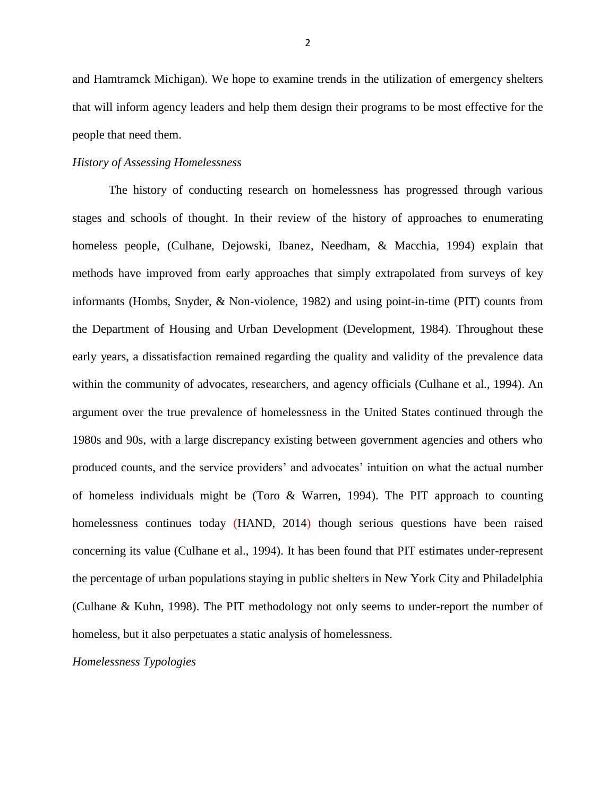and Hamtramck Michigan). We hope to examine trends in the utilization of emergency shelters that will inform agency leaders and help them design their programs to be most effective for the people that need them.

#### *History of Assessing Homelessness*

The history of conducting research on homelessness has progressed through various stages and schools of thought. In their review of the history of approaches to enumerating homeless people, (Culhane, Dejowski, Ibanez, Needham, & Macchia, 1994) explain that methods have improved from early approaches that simply extrapolated from surveys of key informants (Hombs, Snyder, & Non-violence, 1982) and using point-in-time (PIT) counts from the Department of Housing and Urban Development (Development, 1984). Throughout these early years, a dissatisfaction remained regarding the quality and validity of the prevalence data within the community of advocates, researchers, and agency officials (Culhane et al., 1994). An argument over the true prevalence of homelessness in the United States continued through the 1980s and 90s, with a large discrepancy existing between government agencies and others who produced counts, and the service providers' and advocates' intuition on what the actual number of homeless individuals might be (Toro & Warren, 1994). The PIT approach to counting homelessness continues today (HAND, 2014) though serious questions have been raised concerning its value (Culhane et al., 1994). It has been found that PIT estimates under-represent the percentage of urban populations staying in public shelters in New York City and Philadelphia (Culhane & Kuhn, 1998). The PIT methodology not only seems to under-report the number of homeless, but it also perpetuates a static analysis of homelessness.

*Homelessness Typologies*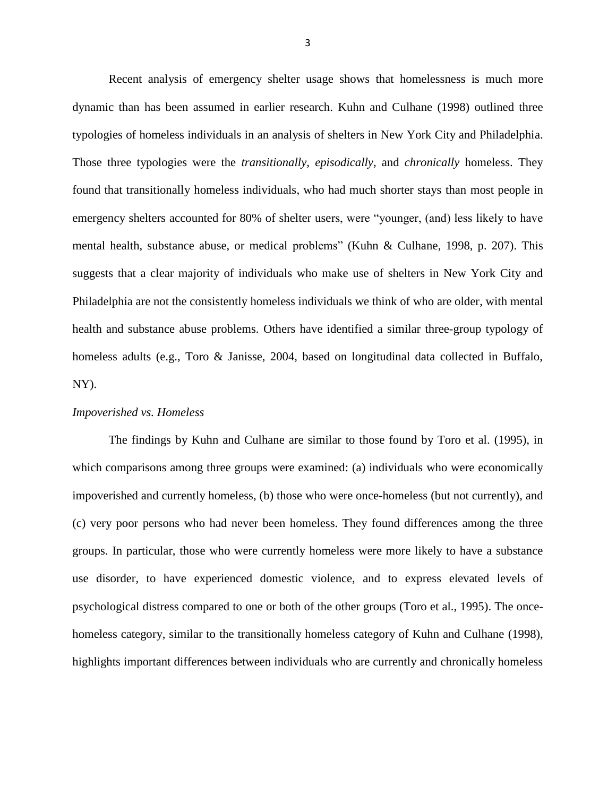Recent analysis of emergency shelter usage shows that homelessness is much more dynamic than has been assumed in earlier research. Kuhn and Culhane (1998) outlined three typologies of homeless individuals in an analysis of shelters in New York City and Philadelphia. Those three typologies were the *transitionally*, *episodically*, and *chronically* homeless. They found that transitionally homeless individuals, who had much shorter stays than most people in emergency shelters accounted for 80% of shelter users, were "younger, (and) less likely to have mental health, substance abuse, or medical problems" (Kuhn & Culhane, 1998, p. 207). This suggests that a clear majority of individuals who make use of shelters in New York City and Philadelphia are not the consistently homeless individuals we think of who are older, with mental health and substance abuse problems. Others have identified a similar three-group typology of homeless adults (e.g., Toro & Janisse, 2004, based on longitudinal data collected in Buffalo, NY).

#### *Impoverished vs. Homeless*

The findings by Kuhn and Culhane are similar to those found by Toro et al. (1995), in which comparisons among three groups were examined: (a) individuals who were economically impoverished and currently homeless, (b) those who were once-homeless (but not currently), and (c) very poor persons who had never been homeless. They found differences among the three groups. In particular, those who were currently homeless were more likely to have a substance use disorder, to have experienced domestic violence, and to express elevated levels of psychological distress compared to one or both of the other groups (Toro et al., 1995). The oncehomeless category, similar to the transitionally homeless category of Kuhn and Culhane (1998), highlights important differences between individuals who are currently and chronically homeless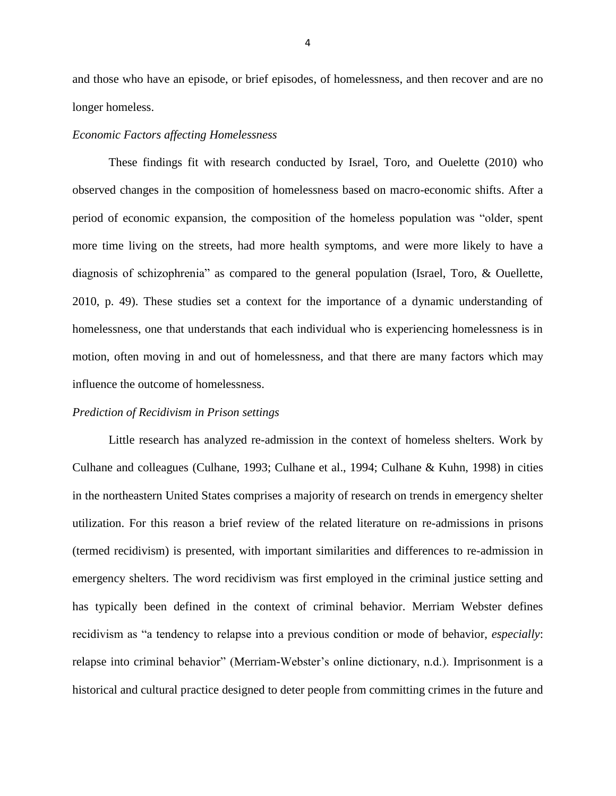and those who have an episode, or brief episodes, of homelessness, and then recover and are no longer homeless.

#### *Economic Factors affecting Homelessness*

These findings fit with research conducted by Israel, Toro, and Ouelette (2010) who observed changes in the composition of homelessness based on macro-economic shifts. After a period of economic expansion, the composition of the homeless population was "older, spent more time living on the streets, had more health symptoms, and were more likely to have a diagnosis of schizophrenia" as compared to the general population (Israel, Toro, & Ouellette, 2010, p. 49). These studies set a context for the importance of a dynamic understanding of homelessness, one that understands that each individual who is experiencing homelessness is in motion, often moving in and out of homelessness, and that there are many factors which may influence the outcome of homelessness.

#### *Prediction of Recidivism in Prison settings*

Little research has analyzed re-admission in the context of homeless shelters. Work by Culhane and colleagues (Culhane, 1993; Culhane et al., 1994; Culhane & Kuhn, 1998) in cities in the northeastern United States comprises a majority of research on trends in emergency shelter utilization. For this reason a brief review of the related literature on re-admissions in prisons (termed recidivism) is presented, with important similarities and differences to re-admission in emergency shelters. The word recidivism was first employed in the criminal justice setting and has typically been defined in the context of criminal behavior. Merriam Webster defines recidivism as "a tendency to relapse into a previous condition or mode of behavior, *especially*: relapse into criminal behavior" (Merriam-Webster's online dictionary, n.d.). Imprisonment is a historical and cultural practice designed to deter people from committing crimes in the future and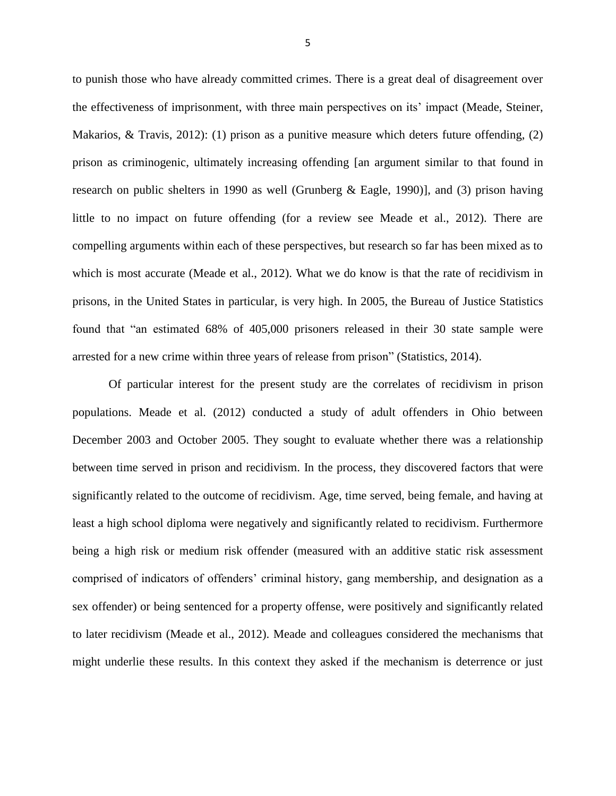to punish those who have already committed crimes. There is a great deal of disagreement over the effectiveness of imprisonment, with three main perspectives on its' impact (Meade, Steiner, Makarios, & Travis, 2012): (1) prison as a punitive measure which deters future offending, (2) prison as criminogenic, ultimately increasing offending [an argument similar to that found in research on public shelters in 1990 as well (Grunberg & Eagle, 1990)], and (3) prison having little to no impact on future offending (for a review see Meade et al., 2012). There are compelling arguments within each of these perspectives, but research so far has been mixed as to which is most accurate (Meade et al., 2012). What we do know is that the rate of recidivism in prisons, in the United States in particular, is very high. In 2005, the Bureau of Justice Statistics found that "an estimated 68% of 405,000 prisoners released in their 30 state sample were arrested for a new crime within three years of release from prison" (Statistics, 2014).

Of particular interest for the present study are the correlates of recidivism in prison populations. Meade et al. (2012) conducted a study of adult offenders in Ohio between December 2003 and October 2005. They sought to evaluate whether there was a relationship between time served in prison and recidivism. In the process, they discovered factors that were significantly related to the outcome of recidivism. Age, time served, being female, and having at least a high school diploma were negatively and significantly related to recidivism. Furthermore being a high risk or medium risk offender (measured with an additive static risk assessment comprised of indicators of offenders' criminal history, gang membership, and designation as a sex offender) or being sentenced for a property offense, were positively and significantly related to later recidivism (Meade et al., 2012). Meade and colleagues considered the mechanisms that might underlie these results. In this context they asked if the mechanism is deterrence or just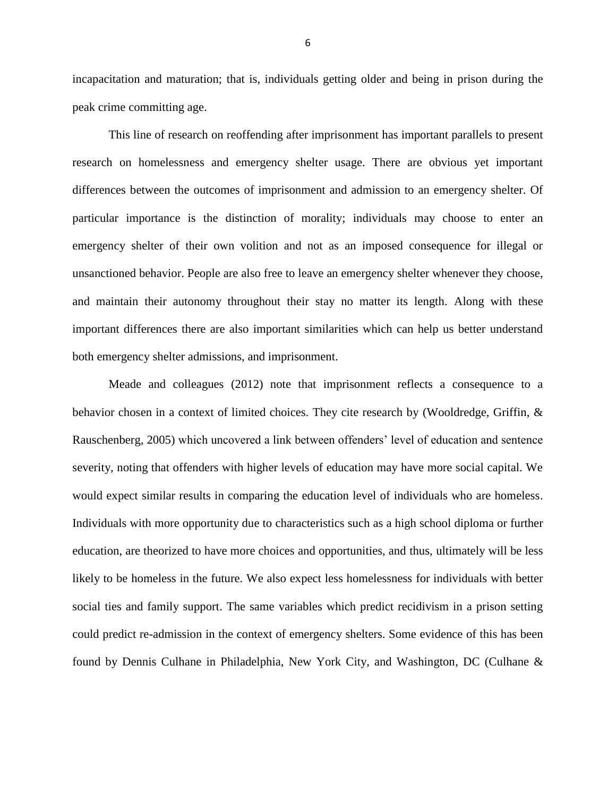incapacitation and maturation; that is, individuals getting older and being in prison during the peak crime committing age.

This line of research on reoffending after imprisonment has important parallels to present research on homelessness and emergency shelter usage. There are obvious yet important differences between the outcomes of imprisonment and admission to an emergency shelter. Of particular importance is the distinction of morality; individuals may choose to enter an emergency shelter of their own volition and not as an imposed consequence for illegal or unsanctioned behavior. People are also free to leave an emergency shelter whenever they choose, and maintain their autonomy throughout their stay no matter its length. Along with these important differences there are also important similarities which can help us better understand both emergency shelter admissions, and imprisonment.

Meade and colleagues (2012) note that imprisonment reflects a consequence to a behavior chosen in a context of limited choices. They cite research by (Wooldredge, Griffin, & Rauschenberg, 2005) which uncovered a link between offenders' level of education and sentence severity, noting that offenders with higher levels of education may have more social capital. We would expect similar results in comparing the education level of individuals who are homeless. Individuals with more opportunity due to characteristics such as a high school diploma or further education, are theorized to have more choices and opportunities, and thus, ultimately will be less likely to be homeless in the future. We also expect less homelessness for individuals with better social ties and family support. The same variables which predict recidivism in a prison setting could predict re-admission in the context of emergency shelters. Some evidence of this has been found by Dennis Culhane in Philadelphia, New York City, and Washington, DC (Culhane &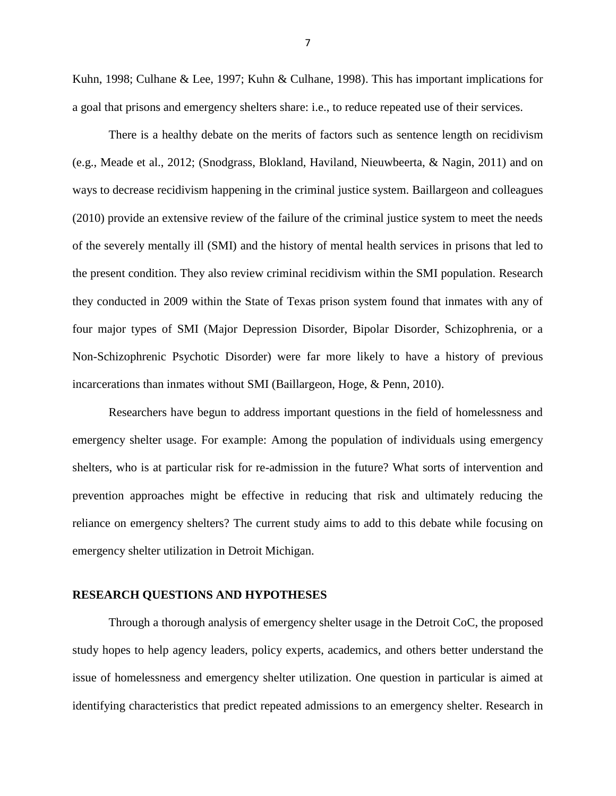Kuhn, 1998; Culhane & Lee, 1997; Kuhn & Culhane, 1998). This has important implications for a goal that prisons and emergency shelters share: i.e., to reduce repeated use of their services.

There is a healthy debate on the merits of factors such as sentence length on recidivism (e.g., Meade et al., 2012; (Snodgrass, Blokland, Haviland, Nieuwbeerta, & Nagin, 2011) and on ways to decrease recidivism happening in the criminal justice system. Baillargeon and colleagues (2010) provide an extensive review of the failure of the criminal justice system to meet the needs of the severely mentally ill (SMI) and the history of mental health services in prisons that led to the present condition. They also review criminal recidivism within the SMI population. Research they conducted in 2009 within the State of Texas prison system found that inmates with any of four major types of SMI (Major Depression Disorder, Bipolar Disorder, Schizophrenia, or a Non-Schizophrenic Psychotic Disorder) were far more likely to have a history of previous incarcerations than inmates without SMI (Baillargeon, Hoge, & Penn, 2010).

Researchers have begun to address important questions in the field of homelessness and emergency shelter usage. For example: Among the population of individuals using emergency shelters, who is at particular risk for re-admission in the future? What sorts of intervention and prevention approaches might be effective in reducing that risk and ultimately reducing the reliance on emergency shelters? The current study aims to add to this debate while focusing on emergency shelter utilization in Detroit Michigan.

#### **RESEARCH QUESTIONS AND HYPOTHESES**

Through a thorough analysis of emergency shelter usage in the Detroit CoC, the proposed study hopes to help agency leaders, policy experts, academics, and others better understand the issue of homelessness and emergency shelter utilization. One question in particular is aimed at identifying characteristics that predict repeated admissions to an emergency shelter. Research in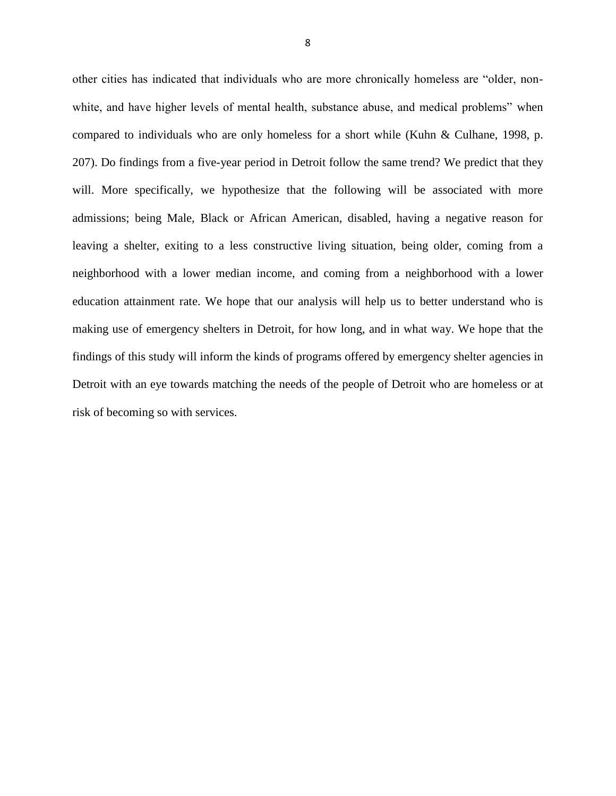other cities has indicated that individuals who are more chronically homeless are "older, nonwhite, and have higher levels of mental health, substance abuse, and medical problems" when compared to individuals who are only homeless for a short while (Kuhn & Culhane, 1998, p. 207). Do findings from a five-year period in Detroit follow the same trend? We predict that they will. More specifically, we hypothesize that the following will be associated with more admissions; being Male, Black or African American, disabled, having a negative reason for leaving a shelter, exiting to a less constructive living situation, being older, coming from a neighborhood with a lower median income, and coming from a neighborhood with a lower education attainment rate. We hope that our analysis will help us to better understand who is making use of emergency shelters in Detroit, for how long, and in what way. We hope that the findings of this study will inform the kinds of programs offered by emergency shelter agencies in Detroit with an eye towards matching the needs of the people of Detroit who are homeless or at risk of becoming so with services.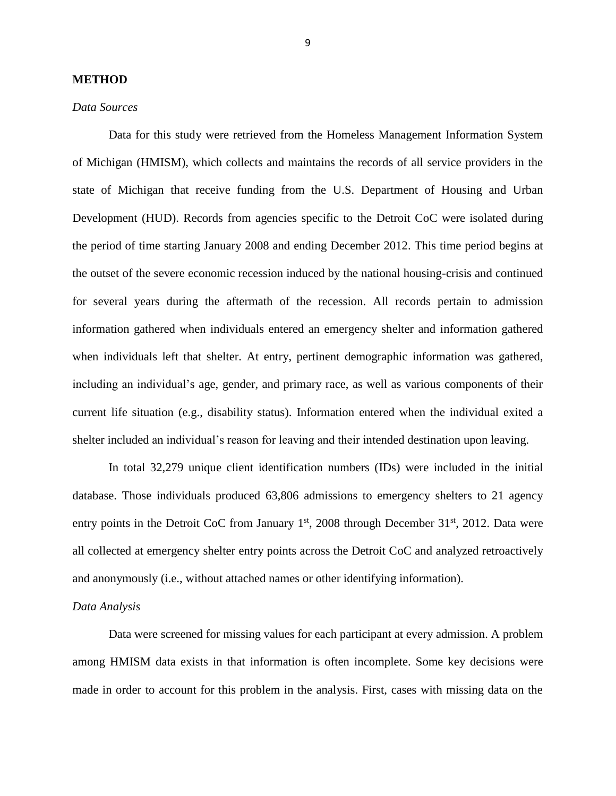#### **METHOD**

#### *Data Sources*

Data for this study were retrieved from the Homeless Management Information System of Michigan (HMISM), which collects and maintains the records of all service providers in the state of Michigan that receive funding from the U.S. Department of Housing and Urban Development (HUD). Records from agencies specific to the Detroit CoC were isolated during the period of time starting January 2008 and ending December 2012. This time period begins at the outset of the severe economic recession induced by the national housing-crisis and continued for several years during the aftermath of the recession. All records pertain to admission information gathered when individuals entered an emergency shelter and information gathered when individuals left that shelter. At entry, pertinent demographic information was gathered, including an individual's age, gender, and primary race, as well as various components of their current life situation (e.g., disability status). Information entered when the individual exited a shelter included an individual's reason for leaving and their intended destination upon leaving.

In total 32,279 unique client identification numbers (IDs) were included in the initial database. Those individuals produced 63,806 admissions to emergency shelters to 21 agency entry points in the Detroit CoC from January  $1<sup>st</sup>$ , 2008 through December 31 $<sup>st</sup>$ , 2012. Data were</sup> all collected at emergency shelter entry points across the Detroit CoC and analyzed retroactively and anonymously (i.e., without attached names or other identifying information).

#### *Data Analysis*

Data were screened for missing values for each participant at every admission. A problem among HMISM data exists in that information is often incomplete. Some key decisions were made in order to account for this problem in the analysis. First, cases with missing data on the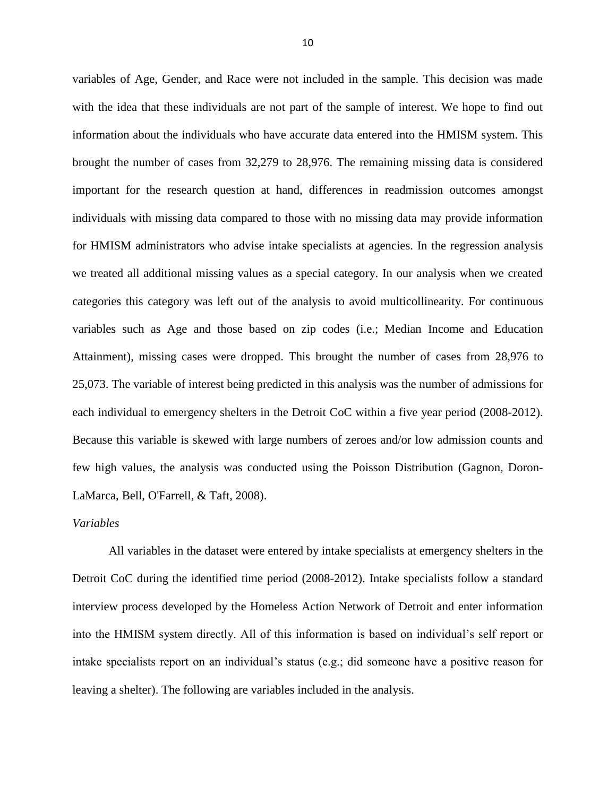variables of Age, Gender, and Race were not included in the sample. This decision was made with the idea that these individuals are not part of the sample of interest. We hope to find out information about the individuals who have accurate data entered into the HMISM system. This brought the number of cases from 32,279 to 28,976. The remaining missing data is considered important for the research question at hand, differences in readmission outcomes amongst individuals with missing data compared to those with no missing data may provide information for HMISM administrators who advise intake specialists at agencies. In the regression analysis we treated all additional missing values as a special category. In our analysis when we created categories this category was left out of the analysis to avoid multicollinearity. For continuous variables such as Age and those based on zip codes (i.e.; Median Income and Education Attainment), missing cases were dropped. This brought the number of cases from 28,976 to 25,073. The variable of interest being predicted in this analysis was the number of admissions for each individual to emergency shelters in the Detroit CoC within a five year period (2008-2012). Because this variable is skewed with large numbers of zeroes and/or low admission counts and few high values, the analysis was conducted using the Poisson Distribution (Gagnon, Doron-LaMarca, Bell, O'Farrell, & Taft, 2008).

#### *Variables*

All variables in the dataset were entered by intake specialists at emergency shelters in the Detroit CoC during the identified time period (2008-2012). Intake specialists follow a standard interview process developed by the Homeless Action Network of Detroit and enter information into the HMISM system directly. All of this information is based on individual's self report or intake specialists report on an individual's status (e.g.; did someone have a positive reason for leaving a shelter). The following are variables included in the analysis.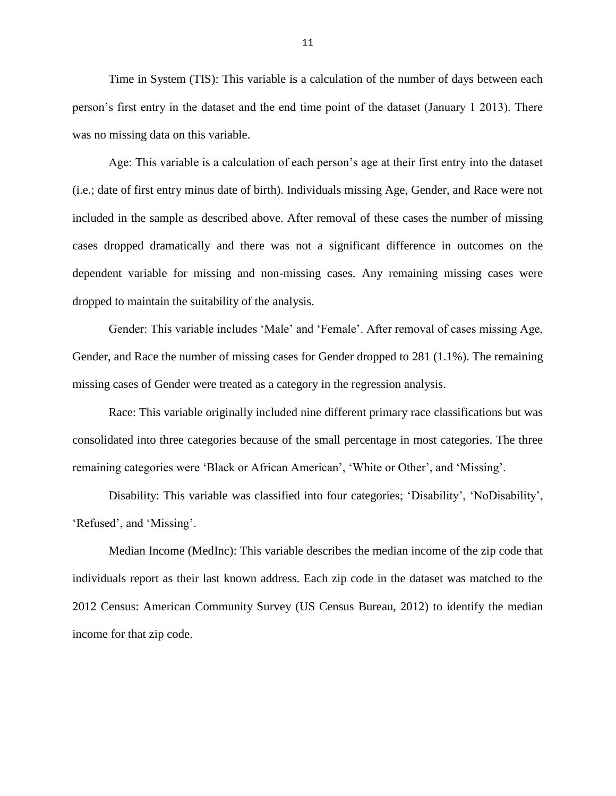Time in System (TIS): This variable is a calculation of the number of days between each person's first entry in the dataset and the end time point of the dataset (January 1 2013). There was no missing data on this variable.

Age: This variable is a calculation of each person's age at their first entry into the dataset (i.e.; date of first entry minus date of birth). Individuals missing Age, Gender, and Race were not included in the sample as described above. After removal of these cases the number of missing cases dropped dramatically and there was not a significant difference in outcomes on the dependent variable for missing and non-missing cases. Any remaining missing cases were dropped to maintain the suitability of the analysis.

Gender: This variable includes 'Male' and 'Female'. After removal of cases missing Age, Gender, and Race the number of missing cases for Gender dropped to 281 (1.1%). The remaining missing cases of Gender were treated as a category in the regression analysis.

Race: This variable originally included nine different primary race classifications but was consolidated into three categories because of the small percentage in most categories. The three remaining categories were 'Black or African American', 'White or Other', and 'Missing'.

Disability: This variable was classified into four categories; 'Disability', 'NoDisability', 'Refused', and 'Missing'.

Median Income (MedInc): This variable describes the median income of the zip code that individuals report as their last known address. Each zip code in the dataset was matched to the 2012 Census: American Community Survey (US Census Bureau, 2012) to identify the median income for that zip code.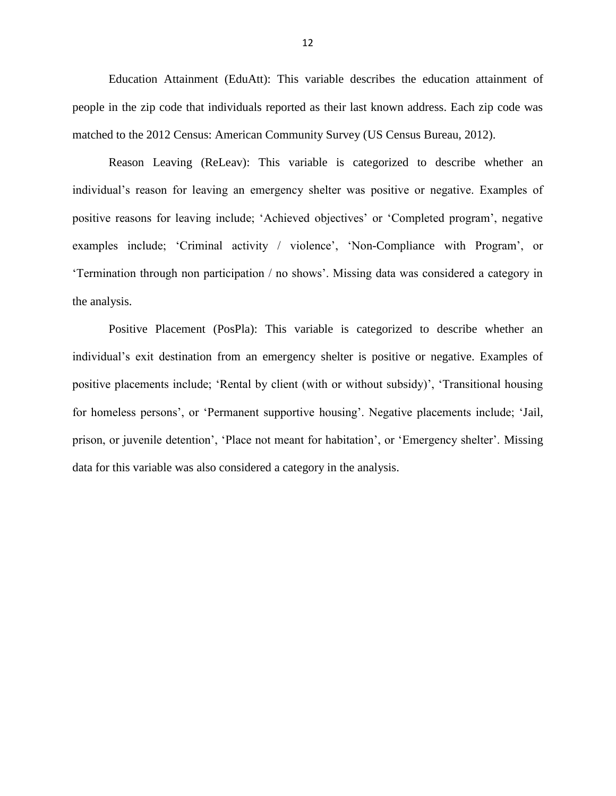Education Attainment (EduAtt): This variable describes the education attainment of people in the zip code that individuals reported as their last known address. Each zip code was matched to the 2012 Census: American Community Survey (US Census Bureau, 2012).

Reason Leaving (ReLeav): This variable is categorized to describe whether an individual's reason for leaving an emergency shelter was positive or negative. Examples of positive reasons for leaving include; 'Achieved objectives' or 'Completed program', negative examples include; 'Criminal activity / violence', 'Non-Compliance with Program', or 'Termination through non participation / no shows'. Missing data was considered a category in the analysis.

Positive Placement (PosPla): This variable is categorized to describe whether an individual's exit destination from an emergency shelter is positive or negative. Examples of positive placements include; 'Rental by client (with or without subsidy)', 'Transitional housing for homeless persons', or 'Permanent supportive housing'. Negative placements include; 'Jail, prison, or juvenile detention', 'Place not meant for habitation', or 'Emergency shelter'. Missing data for this variable was also considered a category in the analysis.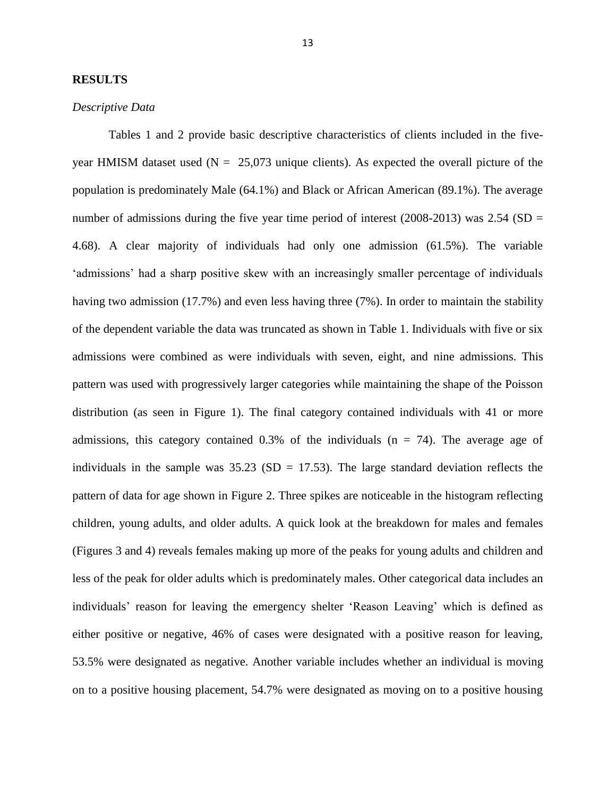#### **RESULTS**

#### *Descriptive Data*

Tables 1 and 2 provide basic descriptive characteristics of clients included in the fiveyear HMISM dataset used ( $N = 25,073$  unique clients). As expected the overall picture of the population is predominately Male (64.1%) and Black or African American (89.1%). The average number of admissions during the five year time period of interest (2008-2013) was  $2.54$  (SD = 4.68). A clear majority of individuals had only one admission (61.5%). The variable 'admissions' had a sharp positive skew with an increasingly smaller percentage of individuals having two admission (17.7%) and even less having three (7%). In order to maintain the stability of the dependent variable the data was truncated as shown in Table 1. Individuals with five or six admissions were combined as were individuals with seven, eight, and nine admissions. This pattern was used with progressively larger categories while maintaining the shape of the Poisson distribution (as seen in Figure 1). The final category contained individuals with 41 or more admissions, this category contained  $0.3\%$  of the individuals (n = 74). The average age of individuals in the sample was  $35.23$  (SD = 17.53). The large standard deviation reflects the pattern of data for age shown in Figure 2. Three spikes are noticeable in the histogram reflecting children, young adults, and older adults. A quick look at the breakdown for males and females (Figures 3 and 4) reveals females making up more of the peaks for young adults and children and less of the peak for older adults which is predominately males. Other categorical data includes an individuals' reason for leaving the emergency shelter 'Reason Leaving' which is defined as either positive or negative, 46% of cases were designated with a positive reason for leaving, 53.5% were designated as negative. Another variable includes whether an individual is moving on to a positive housing placement, 54.7% were designated as moving on to a positive housing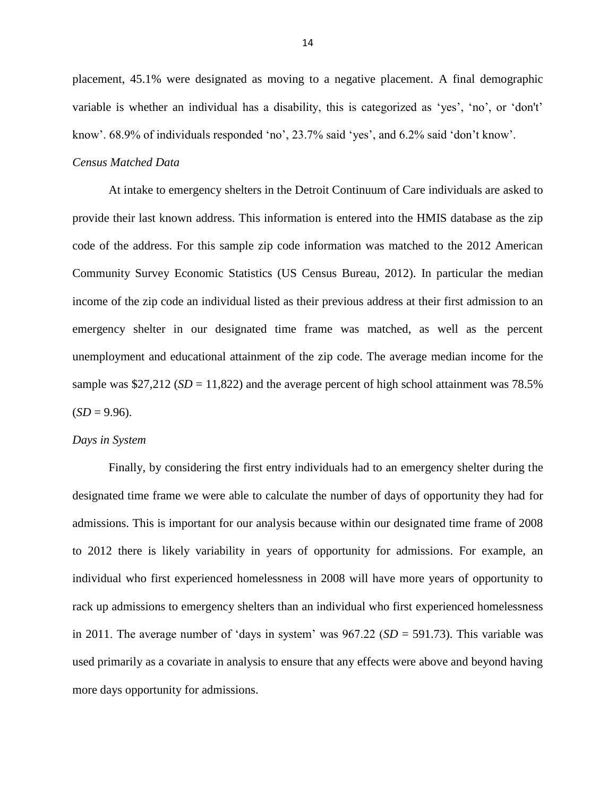placement, 45.1% were designated as moving to a negative placement. A final demographic variable is whether an individual has a disability, this is categorized as 'yes', 'no', or 'don't' know'. 68.9% of individuals responded 'no', 23.7% said 'yes', and 6.2% said 'don't know'.

#### *Census Matched Data*

At intake to emergency shelters in the Detroit Continuum of Care individuals are asked to provide their last known address. This information is entered into the HMIS database as the zip code of the address. For this sample zip code information was matched to the 2012 American Community Survey Economic Statistics (US Census Bureau, 2012). In particular the median income of the zip code an individual listed as their previous address at their first admission to an emergency shelter in our designated time frame was matched, as well as the percent unemployment and educational attainment of the zip code. The average median income for the sample was  $$27,212$  (*SD* = 11,822) and the average percent of high school attainment was 78.5%  $(SD = 9.96)$ .

#### *Days in System*

Finally, by considering the first entry individuals had to an emergency shelter during the designated time frame we were able to calculate the number of days of opportunity they had for admissions. This is important for our analysis because within our designated time frame of 2008 to 2012 there is likely variability in years of opportunity for admissions. For example, an individual who first experienced homelessness in 2008 will have more years of opportunity to rack up admissions to emergency shelters than an individual who first experienced homelessness in 2011. The average number of 'days in system' was 967.22 (*SD* = 591.73). This variable was used primarily as a covariate in analysis to ensure that any effects were above and beyond having more days opportunity for admissions.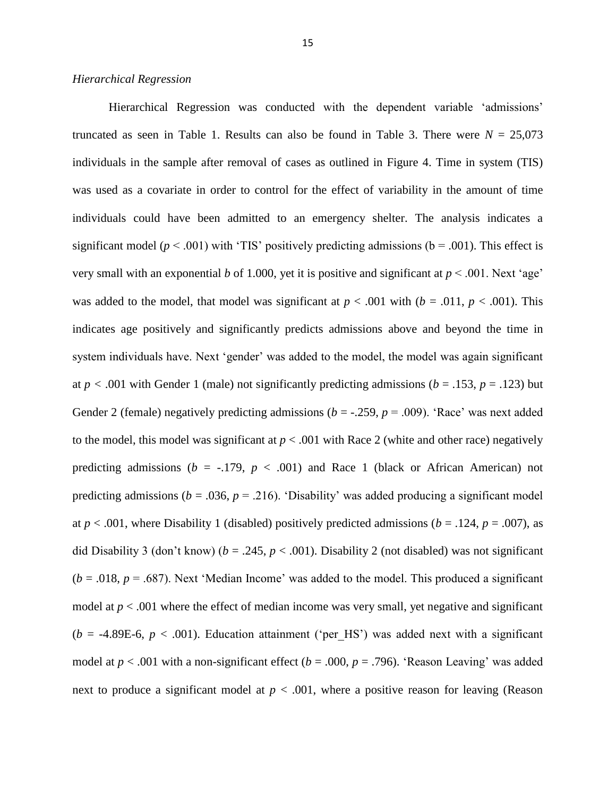#### *Hierarchical Regression*

Hierarchical Regression was conducted with the dependent variable 'admissions' truncated as seen in Table 1. Results can also be found in Table 3. There were  $N = 25,073$ individuals in the sample after removal of cases as outlined in Figure 4. Time in system (TIS) was used as a covariate in order to control for the effect of variability in the amount of time individuals could have been admitted to an emergency shelter. The analysis indicates a significant model ( $p < .001$ ) with 'TIS' positively predicting admissions ( $b = .001$ ). This effect is very small with an exponential *b* of 1.000, yet it is positive and significant at  $p < .001$ . Next 'age' was added to the model, that model was significant at  $p < .001$  with ( $b = .011$ ,  $p < .001$ ). This indicates age positively and significantly predicts admissions above and beyond the time in system individuals have. Next 'gender' was added to the model, the model was again significant at  $p < .001$  with Gender 1 (male) not significantly predicting admissions ( $b = .153$ ,  $p = .123$ ) but Gender 2 (female) negatively predicting admissions  $(b = -0.259, p = 0.009)$ . 'Race' was next added to the model, this model was significant at  $p < .001$  with Race 2 (white and other race) negatively predicting admissions ( $b = -.179$ ,  $p < .001$ ) and Race 1 (black or African American) not predicting admissions ( $b = .036$ ,  $p = .216$ ). 'Disability' was added producing a significant model at *p* < .001, where Disability 1 (disabled) positively predicted admissions (*b* = .124, *p* = .007), as did Disability 3 (don't know) ( $b = .245$ ,  $p < .001$ ). Disability 2 (not disabled) was not significant  $(b = .018, p = .687)$ . Next 'Median Income' was added to the model. This produced a significant model at  $p < .001$  where the effect of median income was very small, yet negative and significant  $(b = -4.89E-6, p < .001)$ . Education attainment ('per HS') was added next with a significant model at *p* < .001 with a non-significant effect (*b* = .000, *p* = .796). 'Reason Leaving' was added next to produce a significant model at  $p < .001$ , where a positive reason for leaving (Reason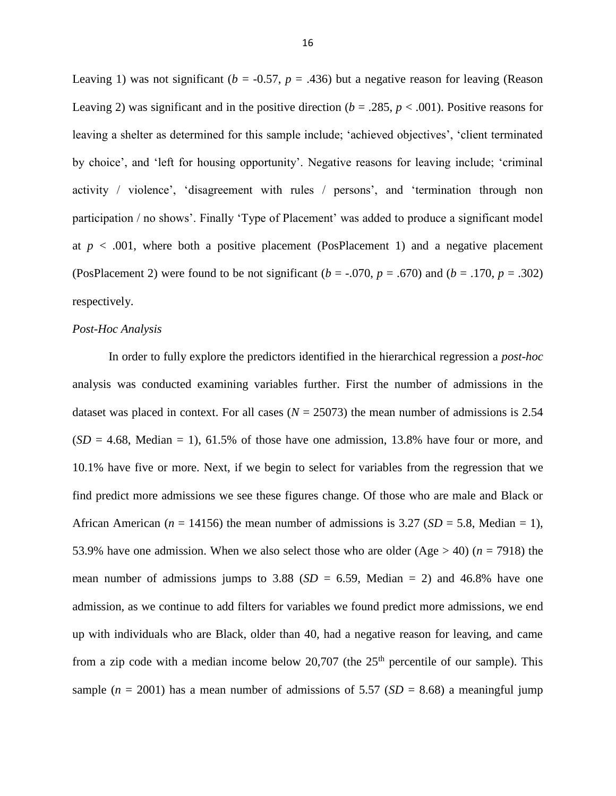Leaving 1) was not significant ( $b = -0.57$ ,  $p = .436$ ) but a negative reason for leaving (Reason Leaving 2) was significant and in the positive direction  $(b = .285, p < .001)$ . Positive reasons for leaving a shelter as determined for this sample include; 'achieved objectives', 'client terminated by choice', and 'left for housing opportunity'. Negative reasons for leaving include; 'criminal activity / violence', 'disagreement with rules / persons', and 'termination through non participation / no shows'. Finally 'Type of Placement' was added to produce a significant model at  $p < .001$ , where both a positive placement (PosPlacement 1) and a negative placement (PosPlacement 2) were found to be not significant  $(b = -0.070, p = 0.670)$  and  $(b = 0.170, p = 0.302)$ respectively.

#### *Post-Hoc Analysis*

In order to fully explore the predictors identified in the hierarchical regression a *post-hoc*  analysis was conducted examining variables further. First the number of admissions in the dataset was placed in context. For all cases  $(N = 25073)$  the mean number of admissions is 2.54  $(SD = 4.68, \text{Median} = 1)$ , 61.5% of those have one admission, 13.8% have four or more, and 10.1% have five or more. Next, if we begin to select for variables from the regression that we find predict more admissions we see these figures change. Of those who are male and Black or African American ( $n = 14156$ ) the mean number of admissions is 3.27 ( $SD = 5.8$ , Median = 1), 53.9% have one admission. When we also select those who are older  $(Age > 40)$  ( $n = 7918$ ) the mean number of admissions jumps to 3.88  $(SD = 6.59, \text{ Median} = 2)$  and 46.8% have one admission, as we continue to add filters for variables we found predict more admissions, we end up with individuals who are Black, older than 40, had a negative reason for leaving, and came from a zip code with a median income below 20,707 (the  $25<sup>th</sup>$  percentile of our sample). This sample ( $n = 2001$ ) has a mean number of admissions of 5.57 ( $SD = 8.68$ ) a meaningful jump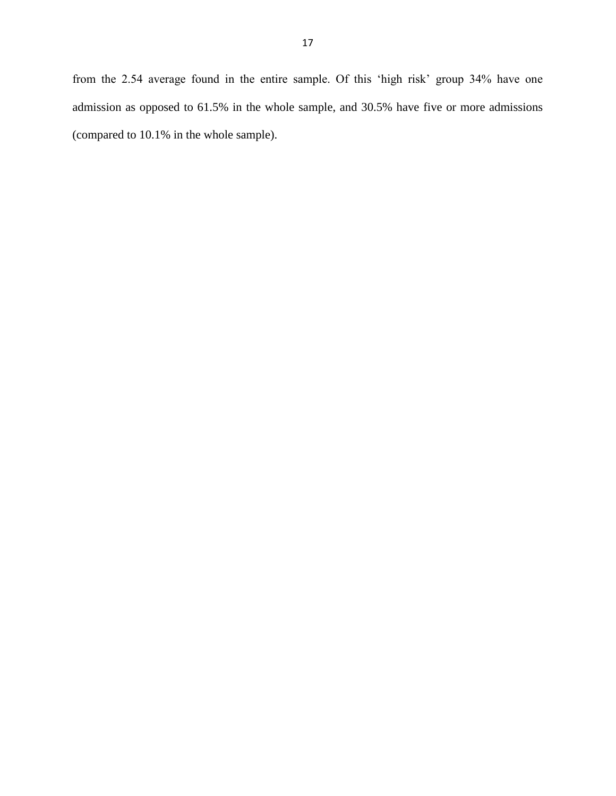from the 2.54 average found in the entire sample. Of this 'high risk' group 34% have one admission as opposed to 61.5% in the whole sample, and 30.5% have five or more admissions (compared to 10.1% in the whole sample).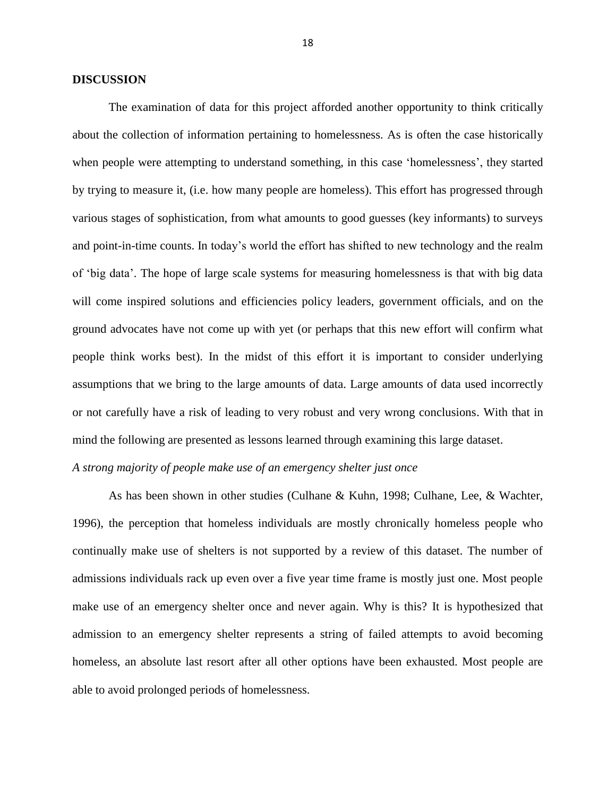#### **DISCUSSION**

The examination of data for this project afforded another opportunity to think critically about the collection of information pertaining to homelessness. As is often the case historically when people were attempting to understand something, in this case 'homelessness', they started by trying to measure it, (i.e. how many people are homeless). This effort has progressed through various stages of sophistication, from what amounts to good guesses (key informants) to surveys and point-in-time counts. In today's world the effort has shifted to new technology and the realm of 'big data'. The hope of large scale systems for measuring homelessness is that with big data will come inspired solutions and efficiencies policy leaders, government officials, and on the ground advocates have not come up with yet (or perhaps that this new effort will confirm what people think works best). In the midst of this effort it is important to consider underlying assumptions that we bring to the large amounts of data. Large amounts of data used incorrectly or not carefully have a risk of leading to very robust and very wrong conclusions. With that in mind the following are presented as lessons learned through examining this large dataset.

## *A strong majority of people make use of an emergency shelter just once*

As has been shown in other studies (Culhane & Kuhn, 1998; Culhane, Lee, & Wachter, 1996), the perception that homeless individuals are mostly chronically homeless people who continually make use of shelters is not supported by a review of this dataset. The number of admissions individuals rack up even over a five year time frame is mostly just one. Most people make use of an emergency shelter once and never again. Why is this? It is hypothesized that admission to an emergency shelter represents a string of failed attempts to avoid becoming homeless, an absolute last resort after all other options have been exhausted. Most people are able to avoid prolonged periods of homelessness.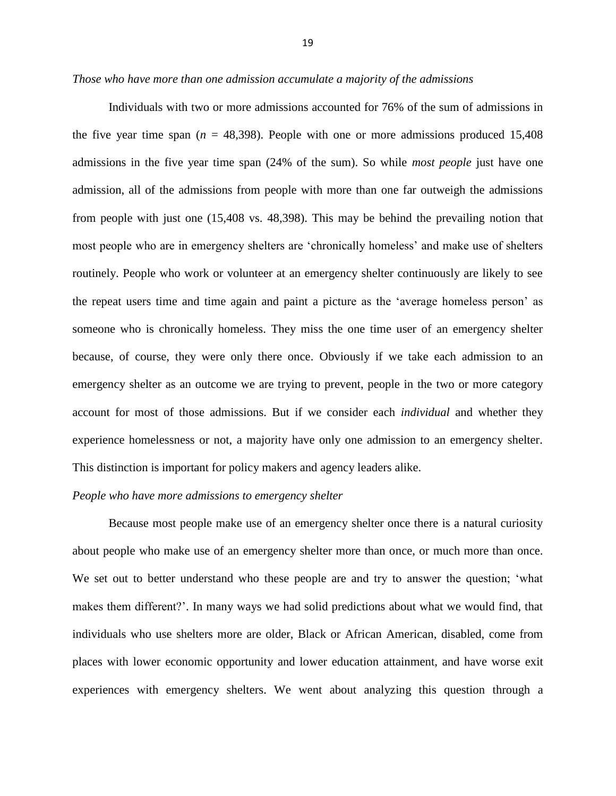*Those who have more than one admission accumulate a majority of the admissions*

Individuals with two or more admissions accounted for 76% of the sum of admissions in the five year time span  $(n = 48,398)$ . People with one or more admissions produced 15,408 admissions in the five year time span (24% of the sum). So while *most people* just have one admission, all of the admissions from people with more than one far outweigh the admissions from people with just one (15,408 vs. 48,398). This may be behind the prevailing notion that most people who are in emergency shelters are 'chronically homeless' and make use of shelters routinely. People who work or volunteer at an emergency shelter continuously are likely to see the repeat users time and time again and paint a picture as the 'average homeless person' as someone who is chronically homeless. They miss the one time user of an emergency shelter because, of course, they were only there once. Obviously if we take each admission to an emergency shelter as an outcome we are trying to prevent, people in the two or more category account for most of those admissions. But if we consider each *individual* and whether they experience homelessness or not, a majority have only one admission to an emergency shelter. This distinction is important for policy makers and agency leaders alike.

#### *People who have more admissions to emergency shelter*

Because most people make use of an emergency shelter once there is a natural curiosity about people who make use of an emergency shelter more than once, or much more than once. We set out to better understand who these people are and try to answer the question; 'what makes them different?'. In many ways we had solid predictions about what we would find, that individuals who use shelters more are older, Black or African American, disabled, come from places with lower economic opportunity and lower education attainment, and have worse exit experiences with emergency shelters. We went about analyzing this question through a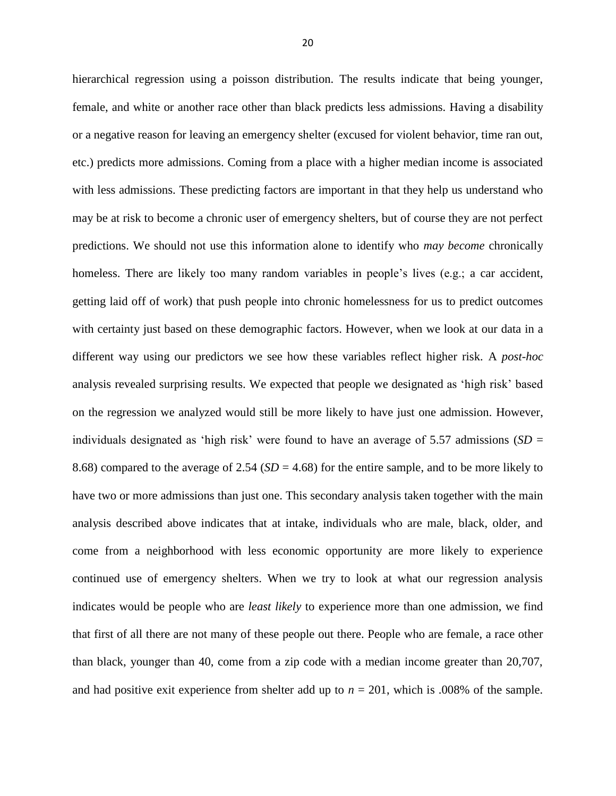hierarchical regression using a poisson distribution. The results indicate that being younger, female, and white or another race other than black predicts less admissions. Having a disability or a negative reason for leaving an emergency shelter (excused for violent behavior, time ran out, etc.) predicts more admissions. Coming from a place with a higher median income is associated with less admissions. These predicting factors are important in that they help us understand who may be at risk to become a chronic user of emergency shelters, but of course they are not perfect predictions. We should not use this information alone to identify who *may become* chronically homeless. There are likely too many random variables in people's lives (e.g.; a car accident, getting laid off of work) that push people into chronic homelessness for us to predict outcomes with certainty just based on these demographic factors. However, when we look at our data in a different way using our predictors we see how these variables reflect higher risk. A *post-hoc* analysis revealed surprising results. We expected that people we designated as 'high risk' based on the regression we analyzed would still be more likely to have just one admission. However, individuals designated as 'high risk' were found to have an average of 5.57 admissions (*SD* = 8.68) compared to the average of 2.54 (*SD* = 4.68) for the entire sample, and to be more likely to have two or more admissions than just one. This secondary analysis taken together with the main analysis described above indicates that at intake, individuals who are male, black, older, and come from a neighborhood with less economic opportunity are more likely to experience continued use of emergency shelters. When we try to look at what our regression analysis indicates would be people who are *least likely* to experience more than one admission, we find that first of all there are not many of these people out there. People who are female, a race other than black, younger than 40, come from a zip code with a median income greater than 20,707, and had positive exit experience from shelter add up to *n* = 201, which is .008% of the sample.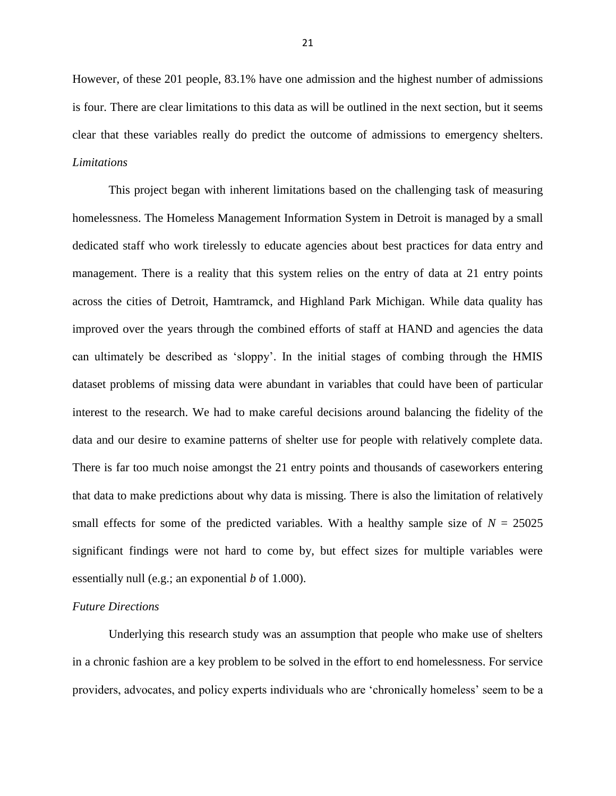However, of these 201 people, 83.1% have one admission and the highest number of admissions is four. There are clear limitations to this data as will be outlined in the next section, but it seems clear that these variables really do predict the outcome of admissions to emergency shelters. *Limitations*

This project began with inherent limitations based on the challenging task of measuring homelessness. The Homeless Management Information System in Detroit is managed by a small dedicated staff who work tirelessly to educate agencies about best practices for data entry and management. There is a reality that this system relies on the entry of data at 21 entry points across the cities of Detroit, Hamtramck, and Highland Park Michigan. While data quality has improved over the years through the combined efforts of staff at HAND and agencies the data can ultimately be described as 'sloppy'. In the initial stages of combing through the HMIS dataset problems of missing data were abundant in variables that could have been of particular interest to the research. We had to make careful decisions around balancing the fidelity of the data and our desire to examine patterns of shelter use for people with relatively complete data. There is far too much noise amongst the 21 entry points and thousands of caseworkers entering that data to make predictions about why data is missing. There is also the limitation of relatively small effects for some of the predicted variables. With a healthy sample size of  $N = 25025$ significant findings were not hard to come by, but effect sizes for multiple variables were essentially null (e.g.; an exponential *b* of 1.000).

#### *Future Directions*

Underlying this research study was an assumption that people who make use of shelters in a chronic fashion are a key problem to be solved in the effort to end homelessness. For service providers, advocates, and policy experts individuals who are 'chronically homeless' seem to be a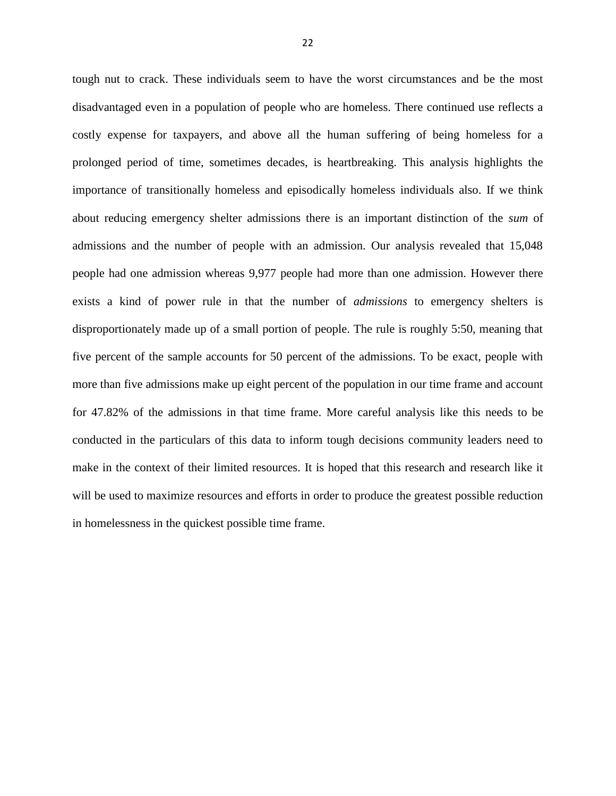tough nut to crack. These individuals seem to have the worst circumstances and be the most disadvantaged even in a population of people who are homeless. There continued use reflects a costly expense for taxpayers, and above all the human suffering of being homeless for a prolonged period of time, sometimes decades, is heartbreaking. This analysis highlights the importance of transitionally homeless and episodically homeless individuals also. If we think about reducing emergency shelter admissions there is an important distinction of the *sum* of admissions and the number of people with an admission. Our analysis revealed that 15,048 people had one admission whereas 9,977 people had more than one admission. However there exists a kind of power rule in that the number of *admissions* to emergency shelters is disproportionately made up of a small portion of people. The rule is roughly 5:50, meaning that five percent of the sample accounts for 50 percent of the admissions. To be exact, people with more than five admissions make up eight percent of the population in our time frame and account for 47.82% of the admissions in that time frame. More careful analysis like this needs to be conducted in the particulars of this data to inform tough decisions community leaders need to make in the context of their limited resources. It is hoped that this research and research like it will be used to maximize resources and efforts in order to produce the greatest possible reduction in homelessness in the quickest possible time frame.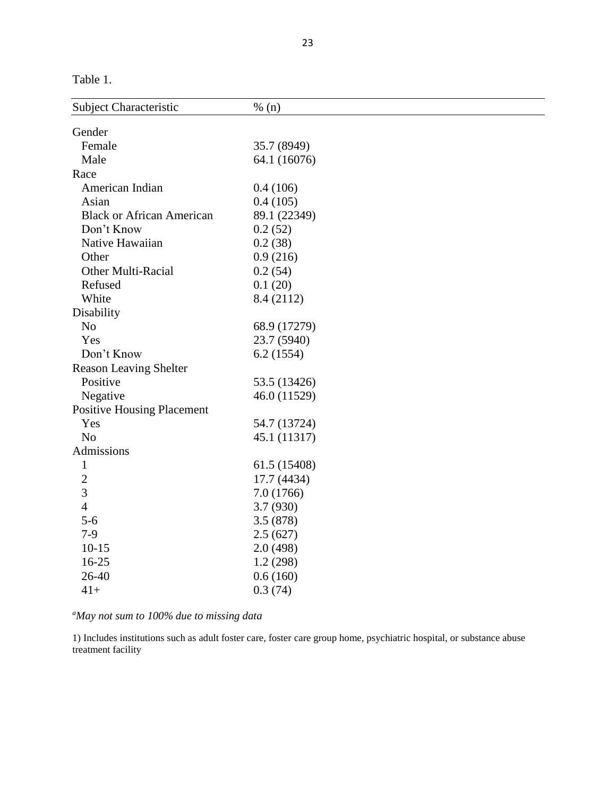Table 1.

| Subject Characteristic            | % (n)        |
|-----------------------------------|--------------|
| Gender                            |              |
| Female                            | 35.7 (8949)  |
| Male                              | 64.1 (16076) |
| Race                              |              |
| American Indian                   | 0.4(106)     |
| Asian                             | 0.4(105)     |
| <b>Black or African American</b>  | 89.1 (22349) |
| Don't Know                        | 0.2(52)      |
| Native Hawaiian                   | 0.2(38)      |
| Other                             | 0.9(216)     |
| <b>Other Multi-Racial</b>         | 0.2(54)      |
| Refused                           | 0.1(20)      |
| White                             | 8.4 (2112)   |
| Disability                        |              |
| N <sub>o</sub>                    | 68.9 (17279) |
| Yes                               | 23.7 (5940)  |
| Don't Know                        | 6.2(1554)    |
| <b>Reason Leaving Shelter</b>     |              |
| Positive                          | 53.5 (13426) |
| Negative                          | 46.0 (11529) |
| <b>Positive Housing Placement</b> |              |
| Yes                               | 54.7 (13724) |
| N <sub>o</sub>                    | 45.1 (11317) |
| Admissions                        |              |
| $\mathbf{1}$                      | 61.5 (15408) |
| $\overline{2}$                    | 17.7 (4434)  |
| 3                                 | 7.0(1766)    |
| $\overline{4}$                    | 3.7 (930)    |
| $5-6$                             | 3.5(878)     |
| $7-9$                             | 2.5(627)     |
| $10-15$                           | 2.0(498)     |
| 16-25                             | 1.2(298)     |
| 26-40                             | 0.6(160)     |
| $41+$                             | 0.3(74)      |

*<sup>a</sup>May not sum to 100% due to missing data*

1) Includes institutions such as adult foster care, foster care group home, psychiatric hospital, or substance abuse treatment facility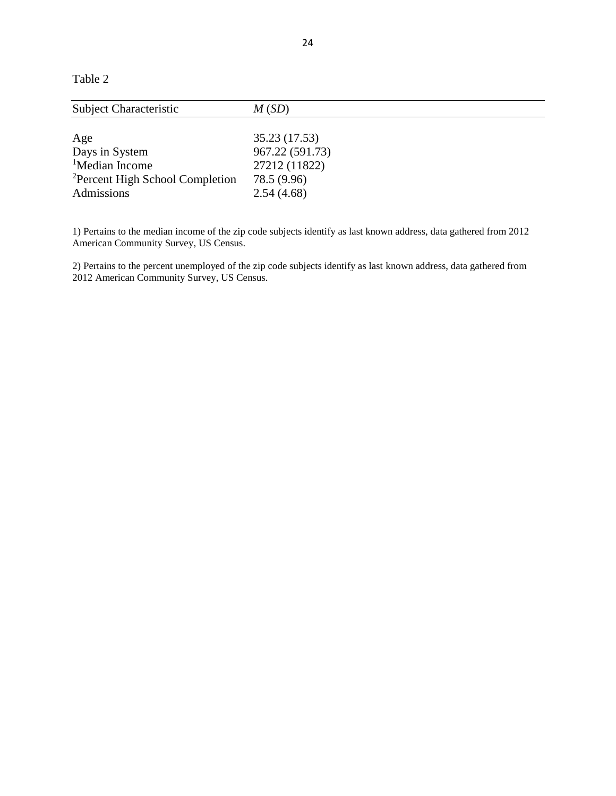Table 2

| M(SD)           |
|-----------------|
|                 |
| 35.23 (17.53)   |
| 967.22 (591.73) |
| 27212 (11822)   |
| 78.5 (9.96)     |
| 2.54(4.68)      |
|                 |

1) Pertains to the median income of the zip code subjects identify as last known address, data gathered from 2012 American Community Survey, US Census.

2) Pertains to the percent unemployed of the zip code subjects identify as last known address, data gathered from 2012 American Community Survey, US Census.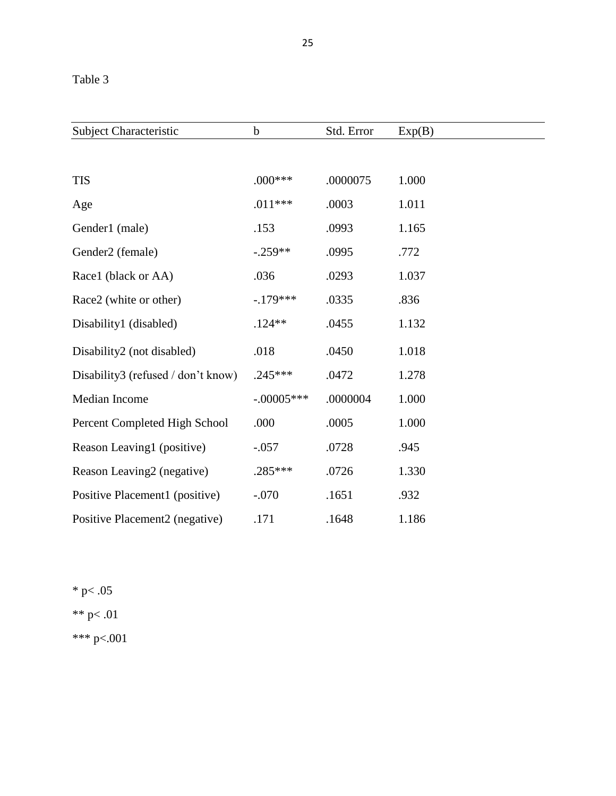| <b>Subject Characteristic</b>      | $\mathbf b$  | Std. Error | Exp(B) |
|------------------------------------|--------------|------------|--------|
|                                    |              |            |        |
| <b>TIS</b>                         | $.000***$    | .0000075   | 1.000  |
| Age                                | $.011***$    | .0003      | 1.011  |
| Gender1 (male)                     | .153         | .0993      | 1.165  |
| Gender2 (female)                   | $-.259**$    | .0995      | .772   |
| Race1 (black or AA)                | .036         | .0293      | 1.037  |
| Race2 (white or other)             | $-179***$    | .0335      | .836   |
| Disability1 (disabled)             | $.124**$     | .0455      | 1.132  |
| Disability2 (not disabled)         | .018         | .0450      | 1.018  |
| Disability3 (refused / don't know) | $.245***$    | .0472      | 1.278  |
| Median Income                      | $-.00005***$ | .0000004   | 1.000  |
| Percent Completed High School      | .000         | .0005      | 1.000  |
| Reason Leaving1 (positive)         | $-.057$      | .0728      | .945   |
| Reason Leaving2 (negative)         | $.285***$    | .0726      | 1.330  |
| Positive Placement1 (positive)     | $-.070$      | .1651      | .932   |
| Positive Placement2 (negative)     | .171         | .1648      | 1.186  |

 $*$  p $< .05$ \*\* p< .01 \*\*\* p<.001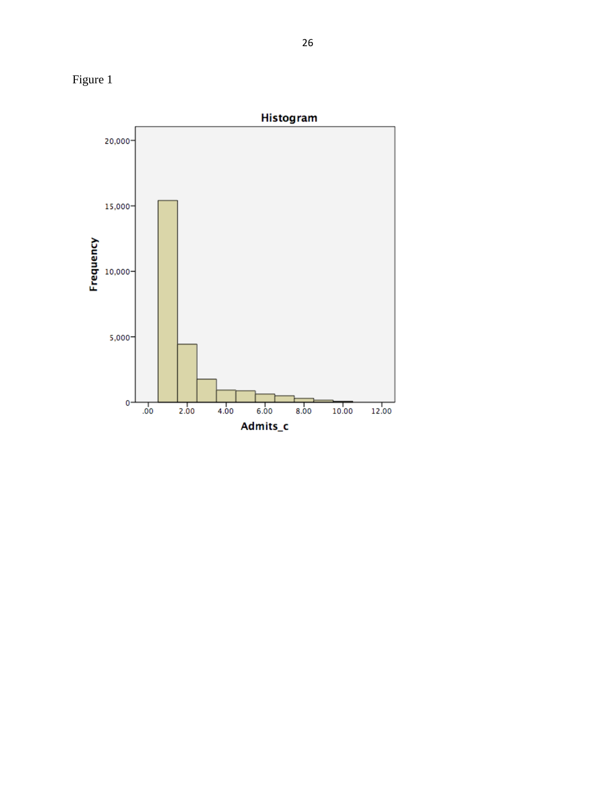

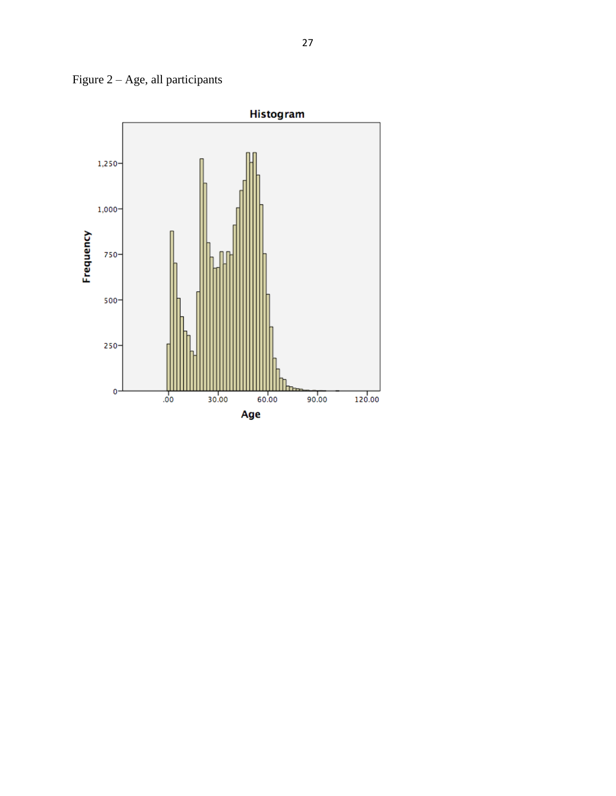Figure  $2 - Age$ , all participants

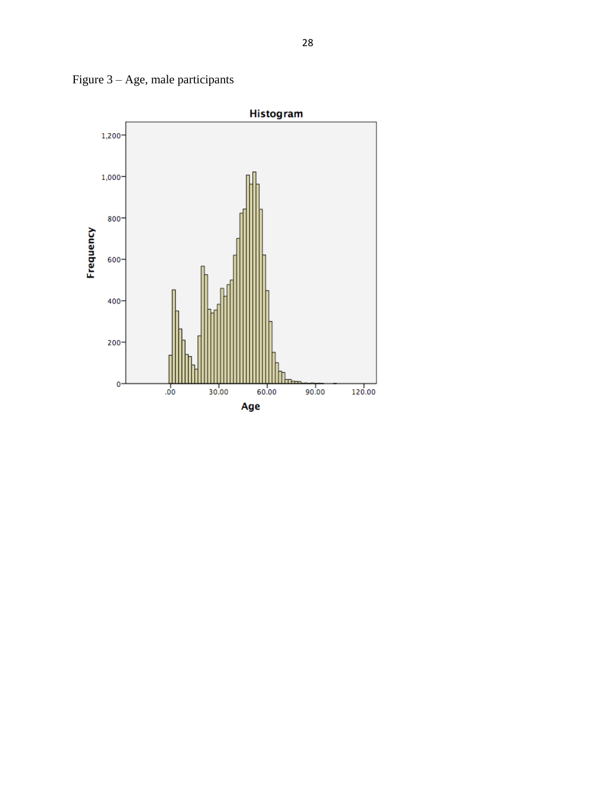

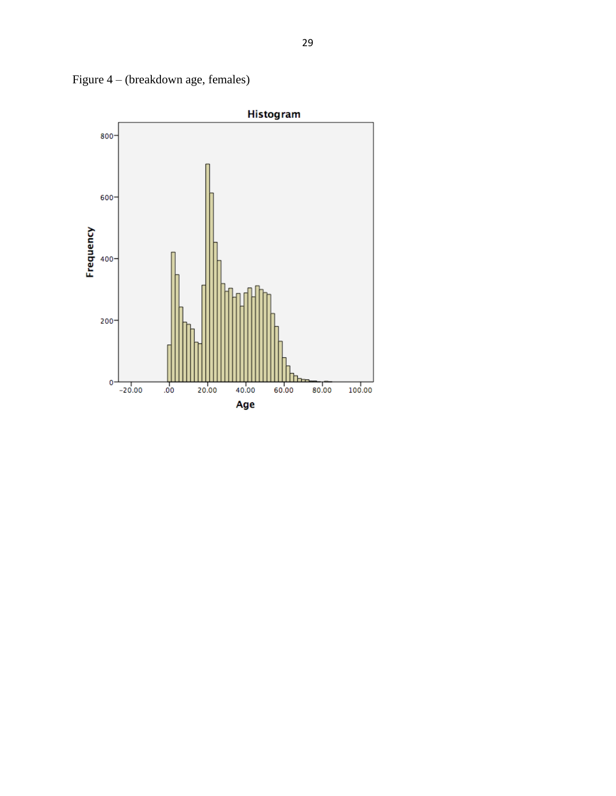

Figure 4 – (breakdown age, females)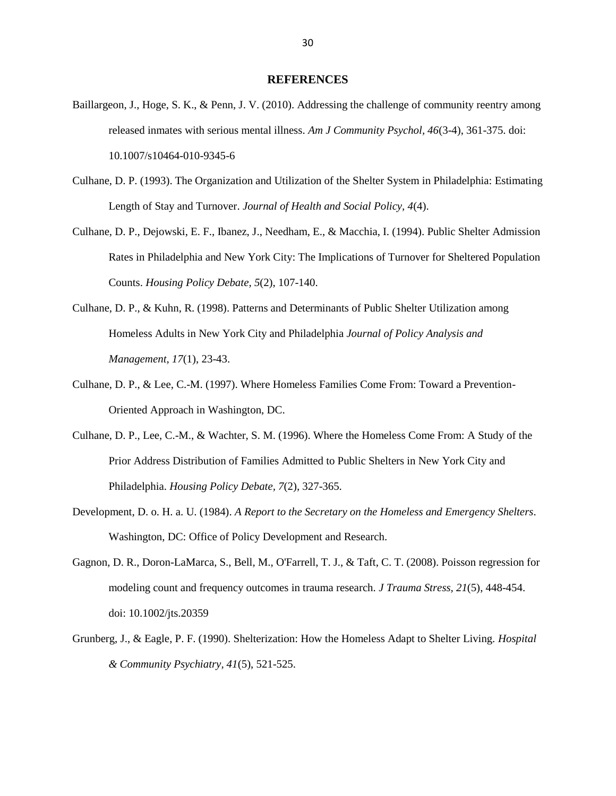#### **REFERENCES**

- Baillargeon, J., Hoge, S. K., & Penn, J. V. (2010). Addressing the challenge of community reentry among released inmates with serious mental illness. *Am J Community Psychol, 46*(3-4), 361-375. doi: 10.1007/s10464-010-9345-6
- Culhane, D. P. (1993). The Organization and Utilization of the Shelter System in Philadelphia: Estimating Length of Stay and Turnover. *Journal of Health and Social Policy, 4*(4).
- Culhane, D. P., Dejowski, E. F., Ibanez, J., Needham, E., & Macchia, I. (1994). Public Shelter Admission Rates in Philadelphia and New York City: The Implications of Turnover for Sheltered Population Counts. *Housing Policy Debate, 5*(2), 107-140.
- Culhane, D. P., & Kuhn, R. (1998). Patterns and Determinants of Public Shelter Utilization among Homeless Adults in New York City and Philadelphia *Journal of Policy Analysis and Management, 17*(1), 23-43.
- Culhane, D. P., & Lee, C.-M. (1997). Where Homeless Families Come From: Toward a Prevention-Oriented Approach in Washington, DC.
- Culhane, D. P., Lee, C.-M., & Wachter, S. M. (1996). Where the Homeless Come From: A Study of the Prior Address Distribution of Families Admitted to Public Shelters in New York City and Philadelphia. *Housing Policy Debate, 7*(2), 327-365.
- Development, D. o. H. a. U. (1984). *A Report to the Secretary on the Homeless and Emergency Shelters*. Washington, DC: Office of Policy Development and Research.
- Gagnon, D. R., Doron-LaMarca, S., Bell, M., O'Farrell, T. J., & Taft, C. T. (2008). Poisson regression for modeling count and frequency outcomes in trauma research. *J Trauma Stress, 21*(5), 448-454. doi: 10.1002/jts.20359
- Grunberg, J., & Eagle, P. F. (1990). Shelterization: How the Homeless Adapt to Shelter Living. *Hospital & Community Psychiatry, 41*(5), 521-525.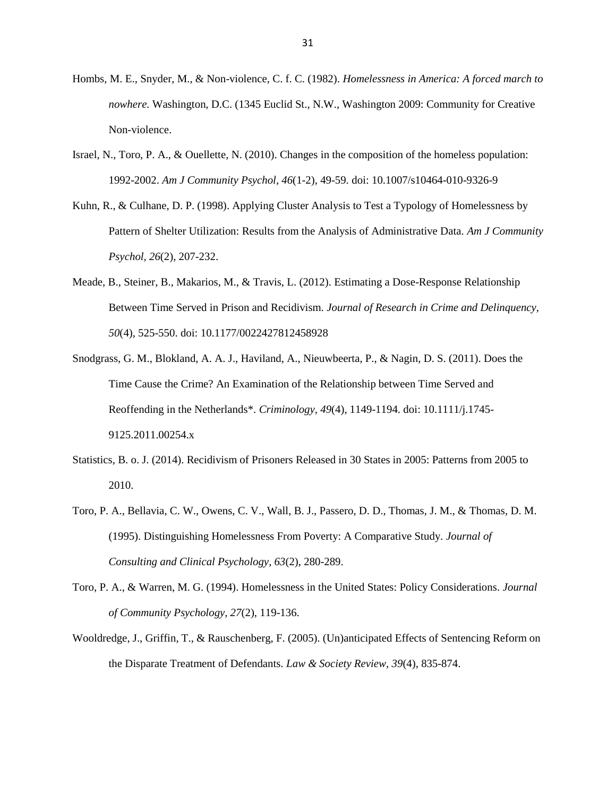- Hombs, M. E., Snyder, M., & Non-violence, C. f. C. (1982). *Homelessness in America: A forced march to nowhere.* Washington, D.C. (1345 Euclid St., N.W., Washington 2009: Community for Creative Non-violence.
- Israel, N., Toro, P. A., & Ouellette, N. (2010). Changes in the composition of the homeless population: 1992-2002. *Am J Community Psychol, 46*(1-2), 49-59. doi: 10.1007/s10464-010-9326-9
- Kuhn, R., & Culhane, D. P. (1998). Applying Cluster Analysis to Test a Typology of Homelessness by Pattern of Shelter Utilization: Results from the Analysis of Administrative Data. *Am J Community Psychol, 26*(2), 207-232.
- Meade, B., Steiner, B., Makarios, M., & Travis, L. (2012). Estimating a Dose-Response Relationship Between Time Served in Prison and Recidivism. *Journal of Research in Crime and Delinquency, 50*(4), 525-550. doi: 10.1177/0022427812458928
- Snodgrass, G. M., Blokland, A. A. J., Haviland, A., Nieuwbeerta, P., & Nagin, D. S. (2011). Does the Time Cause the Crime? An Examination of the Relationship between Time Served and Reoffending in the Netherlands\*. *Criminology, 49*(4), 1149-1194. doi: 10.1111/j.1745- 9125.2011.00254.x
- Statistics, B. o. J. (2014). Recidivism of Prisoners Released in 30 States in 2005: Patterns from 2005 to 2010.
- Toro, P. A., Bellavia, C. W., Owens, C. V., Wall, B. J., Passero, D. D., Thomas, J. M., & Thomas, D. M. (1995). Distinguishing Homelessness From Poverty: A Comparative Study. *Journal of Consulting and Clinical Psychology, 63*(2), 280-289.
- Toro, P. A., & Warren, M. G. (1994). Homelessness in the United States: Policy Considerations. *Journal of Community Psychology, 27*(2), 119-136.
- Wooldredge, J., Griffin, T., & Rauschenberg, F. (2005). (Un)anticipated Effects of Sentencing Reform on the Disparate Treatment of Defendants. *Law & Society Review, 39*(4), 835-874.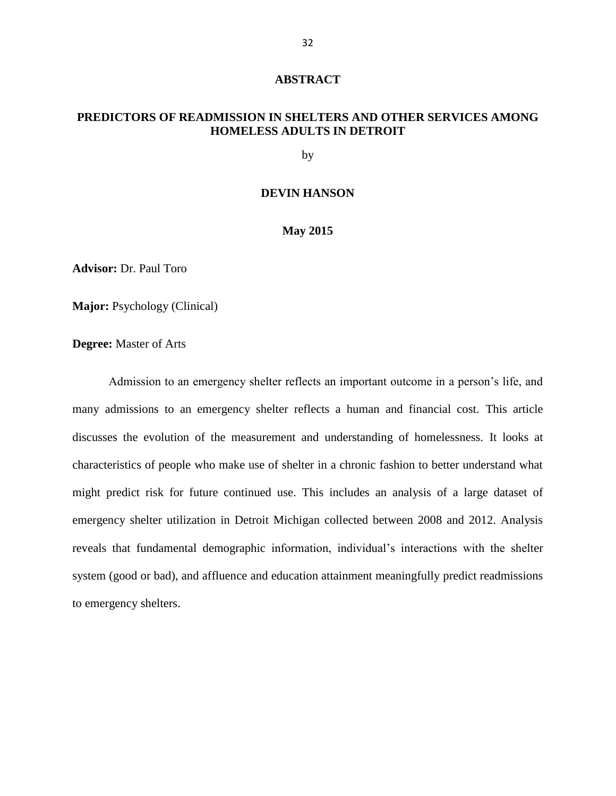#### **ABSTRACT**

## **PREDICTORS OF READMISSION IN SHELTERS AND OTHER SERVICES AMONG HOMELESS ADULTS IN DETROIT**

by

#### **DEVIN HANSON**

#### **May 2015**

**Advisor:** Dr. Paul Toro

**Major:** Psychology (Clinical)

**Degree:** Master of Arts

Admission to an emergency shelter reflects an important outcome in a person's life, and many admissions to an emergency shelter reflects a human and financial cost. This article discusses the evolution of the measurement and understanding of homelessness. It looks at characteristics of people who make use of shelter in a chronic fashion to better understand what might predict risk for future continued use. This includes an analysis of a large dataset of emergency shelter utilization in Detroit Michigan collected between 2008 and 2012. Analysis reveals that fundamental demographic information, individual's interactions with the shelter system (good or bad), and affluence and education attainment meaningfully predict readmissions to emergency shelters.